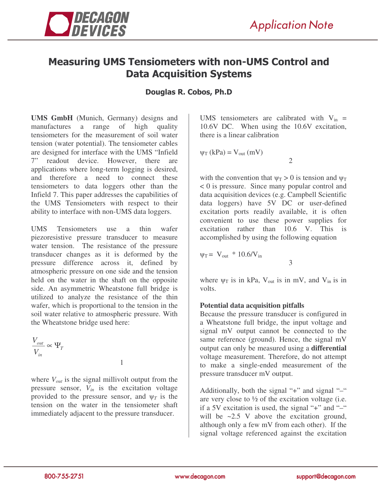

# Measuring UMS Tensiometers with non-UMS Control and **Data Acquisition Systems**

## Douglas R. Cobos, Ph.D

**UMS GmbH** (Munich, Germany) designs and manufactures a range of high quality tensiometers for the measurement of soil water tension (water potential). The tensiometer cables are designed for interface with the UMS "Infield 7" readout device. However, there are applications where long-term logging is desired, and therefore a need to connect these tensiometers to data loggers other than the Infield 7. This paper addresses the capabilities of the UMS Tensiometers with respect to their ability to interface with non-UMS data loggers.

UMS Tensiometers use a thin wafer piezoresistive pressure transducer to measure water tension. The resistance of the pressure transducer changes as it is deformed by the pressure difference across it, defined by atmospheric pressure on one side and the tension held on the water in the shaft on the opposite side. An asymmetric Wheatstone full bridge is utilized to analyze the resistance of the thin wafer, which is proportional to the tension in the soil water relative to atmospheric pressure. With the Wheatstone bridge used here:

$$
\frac{V_{out}}{V_{in}} \propto \Psi_T
$$

where *Vout* is the signal millivolt output from the pressure sensor, *Vin* is the excitation voltage provided to the pressure sensor, and  $\psi_T$  is the tension on the water in the tensiometer shaft immediately adjacent to the pressure transducer.

1

UMS tensiometers are calibrated with  $V_{in}$  = 10.6V DC. When using the 10.6V excitation, there is a linear calibration

2

3

$$
\psi_T\left(kPa\right) = V_{out}\left(mV\right)
$$

with the convention that  $\psi_T > 0$  is tension and  $\psi_T$ < 0 is pressure. Since many popular control and data acquisition devices (e.g. Campbell Scientific data loggers) have 5V DC or user-defined excitation ports readily available, it is often convenient to use these power supplies for excitation rather than 10.6 V. This is accomplished by using the following equation

$$
\psi_T = V_{out} * 10.6/V_{in}
$$

where  $\psi_T$  is in kPa, V<sub>out</sub> is in mV, and V<sub>in</sub> is in volts.

### **Potential data acquisition pitfalls**

Because the pressure transducer is configured in a Wheatstone full bridge, the input voltage and signal mV output cannot be connected to the same reference (ground). Hence, the signal mV output can only be measured using a **differential** voltage measurement. Therefore, do not attempt to make a single-ended measurement of the pressure transducer mV output.

Additionally, both the signal "+" and signal " $-$ " are very close to  $\frac{1}{2}$  of the excitation voltage (i.e. if a 5V excitation is used, the signal "+" and "–" will be ~2.5 V above the excitation ground, although only a few mV from each other). If the signal voltage referenced against the excitation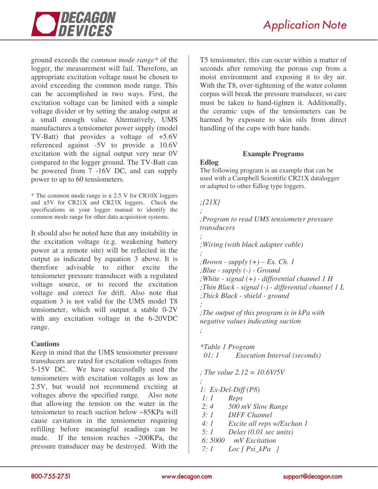

ground exceeds the *common mode range\** of the logger, the measurement will fail. Therefore, an appropriate excitation voltage must be chosen to avoid exceeding the common mode range. This can be accomplished in two ways. First, the excitation voltage can be limited with a simple voltage divider or by setting the analog output at a small enough value. Alternatively, UMS manufactures a tensiometer power supply (model TV-Batt) that provides a voltage of +5.6V referenced against -5V to provide a 10.6V excitation with the signal output very near 0V compared to the logger ground. The TV-Batt can be powered from 7 -16V DC, and can supply power to up to 60 tensiometers.

\* The common mode range is  $\pm 2.5$  V for CR10X loggers and ±5V for CR21X and CR23X loggers. Check the specifications in your logger manual to identify the common mode range for other data acquisition systems.

It should also be noted here that any instability in the excitation voltage (e.g. weakening battery power at a remote site) will be reflected in the output as indicated by equation 3 above. It is therefore advisable to either excite the tensiometer pressure transducer with a regulated voltage source, or to record the excitation voltage and correct for drift. Also note that equation 3 is not valid for the UMS model T8 tensiometer, which will output a stable 0-2V with any excitation voltage in the 6-20VDC range.

### **Cautions**

Keep in mind that the UMS tensiometer pressure transducers are rated for excitation voltages from 5-15V DC. We have successfully used the tensiometers with excitation voltages as low as 2.5V, but would not recommend exciting at voltages above the specified range. Also note that allowing the tension on the water in the tensiometer to reach suction below ~85KPa will cause cavitation in the tensiometer requiring refilling before meaningful readings can be made. If the tension reaches ~200KPa, the pressure transducer may be destroyed. With the

T5 tensiometer, this can occur within a matter of seconds after removing the porous cup from a moist environment and exposing it to dry air. With the T8, over-tightening of the water column corpus will break the pressure transducer, so care must be taken to hand-tighten it. Additionally, the ceramic cups of the tensiometers can be harmed by exposure to skin oils from direct handling of the cups with bare hands.

## **Example Programs**

### **Edlog**

The following program is an example that can be used with a Campbell Scientific CR21X datalogger or adapted to other Edlog type loggers.

# *;{21X} ; ;Program to read UMS tensiometer pressure transducers ; ;Wiring (with black adapter cable) ; ;Brown - supply (+) – Ex. Ch. 1 ;Blue - supply (-) - Ground ;White - signal (+) - differential channel 1 H ;Thin Black - signal (-) - differential channel 1 L ;Thick Black - shield - ground ; ;The output of this program is in kPa with negative values indicating suction ; \*Table 1 Program 01: 1 Execution Interval (seconds) ; The value 2.12 = 10.6V/5V*

*; 1: Ex-Del-Diff (P8) 1: 1 Reps 2: 4 500 mV Slow Range 3: 1 DIFF Channel 4: 1 Excite all reps w/Exchan 1 5: 1 Delay (0.01 sec units) 6: 5000 mV Excitation 7: 1 Loc [ Psi\_kPa ]*